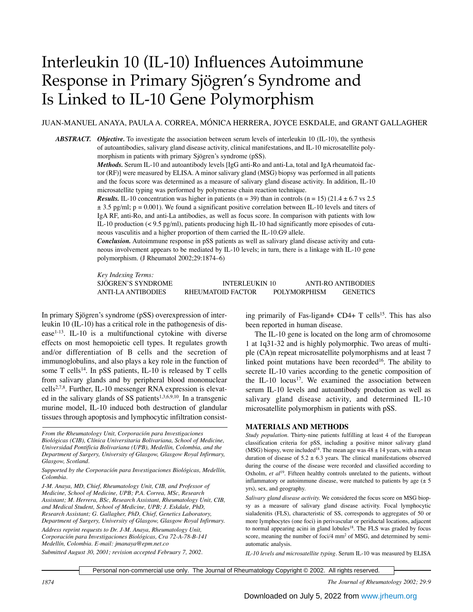# Interleukin 10 (IL-10) Influences Autoimmune Response in Primary Sjögren's Syndrome and Is Linked to IL-10 Gene Polymorphism

# JUAN-MANUEL ANAYA, PAULA A. CORREA, MÓNICA HERRERA, JOYCE ESKDALE, and GRANT GALLAGHER

*ABSTRACT. Objective.* To investigate the association between serum levels of interleukin 10 (IL-10), the synthesis of autoantibodies, salivary gland disease activity, clinical manifestations, and IL-10 microsatellite polymorphism in patients with primary Sjögren's syndrome (pSS).

> *Methods.* Serum IL-10 and autoantibody levels [IgG anti-Ro and anti-La, total and IgA rheumatoid factor (RF)] were measured by ELISA. A minor salivary gland (MSG) biopsy was performed in all patients and the focus score was determined as a measure of salivary gland disease activity. In addition, IL-10 microsatellite typing was performed by polymerase chain reaction technique.

> *Results.* IL-10 concentration was higher in patients (n = 39) than in controls (n = 15) (21.4  $\pm$  6.7 vs 2.5  $\pm$  3.5 pg/ml; p = 0.001). We found a significant positive correlation between IL-10 levels and titers of IgA RF, anti-Ro, and anti-La antibodies, as well as focus score. In comparison with patients with low IL-10 production (< 9.5 pg/ml), patients producing high IL-10 had significantly more episodes of cutaneous vasculitis and a higher proportion of them carried the IL-10.G9 allele.

> *Conclusion.* Autoimmune response in pSS patients as well as salivary gland disease activity and cutaneous involvement appears to be mediated by IL-10 levels; in turn, there is a linkage with IL-10 gene polymorphism. (J Rheumatol 2002;29:1874–6)

> *Key Indexing Terms:* SJÖGREN'S SYNDROME INTERLEUKIN 10 ANTI-RO ANTIBODIES ANTI-LA ANTIBODIES RHEUMATOID FACTOR POLYMORPHISM GENETICS

In primary Sjögren's syndrome (pSS) overexpression of interleukin 10 (IL-10) has a critical role in the pathogenesis of disease $1-13$ . IL-10 is a multifunctional cytokine with diverse effects on most hemopoietic cell types. It regulates growth and/or differentiation of B cells and the secretion of immunoglobulins, and also plays a key role in the function of some  $T$  cells<sup>14</sup>. In pSS patients, IL-10 is released by  $T$  cells from salivary glands and by peripheral blood mononuclear cells<sup>2,7,8</sup>. Further, IL-10 messenger RNA expression is elevated in the salivary glands of SS patients<sup>1,3,6,9,10</sup>. In a transgenic murine model, IL-10 induced both destruction of glandular tissues through apoptosis and lymphocytic infiltration consist-

*Submitted August 30, 2001; revision accepted February 7, 2002.*

ing primarily of Fas-ligand+  $CD4+T$  cells<sup>15</sup>. This has also been reported in human disease.

The IL-10 gene is located on the long arm of chromosome 1 at 1q31-32 and is highly polymorphic. Two areas of multiple (CA)n repeat microsatellite polymorphisms and at least 7 linked point mutations have been recorded<sup>16</sup>. The ability to secrete IL-10 varies according to the genetic composition of the IL-10 locus<sup>17</sup>. We examined the association between serum IL-10 levels and autoantibody production as well as salivary gland disease activity, and determined IL-10 microsatellite polymorphism in patients with pSS.

### **MATERIALS AND METHODS**

*Study population.* Thirty-nine patients fulfilling at least 4 of the European classification criteria for pSS, including a positive minor salivary gland (MSG) biopsy, were included<sup>18</sup>. The mean age was  $48 \pm 14$  years, with a mean duration of disease of  $5.2 \pm 6.3$  years. The clinical manifestations observed during the course of the disease were recorded and classified according to Oxholm, *et al*19. Fifteen healthy controls unrelated to the patients, without inflammatory or autoimmune disease, were matched to patients by age  $(\pm 5)$ yrs), sex, and geography.

*Salivary gland disease activity.* We considered the focus score on MSG biopsy as a measure of salivary gland disease activity. Focal lymphocytic sialadenitis (FLS), characteristic of SS, corresponds to aggregates of 50 or more lymphocytes (one foci) in perivascular or periductal locations, adjacent to normal appearing acini in gland lobules<sup>18</sup>. The FLS was graded by focus score, meaning the number of foci/4 mm<sup>2</sup> of MSG, and determined by semiautomatic analysis.

*IL-10 levels and microsatellite typing.* Serum IL-10 was measured by ELISA

Personal non-commercial use only. The Journal of Rheumatology Copyright © 2002. All rights reserved.

*From the Rheumatology Unit, Corporación para Investigaciones Biológicas (CIB), Clínica Universitaria Bolivariana, School of Medicine, Universidad Pontificia Bolivariana (UPB), Medellin, Colombia, and the Department of Surgery, University of Glasgow, Glasgow Royal Infirmary, Glasgow, Scotland.*

*Supported by the Corporación para Investigaciones Biológicas, Medellín, Colombia.*

*J-M. Anaya, MD, Chief, Rheumatology Unit, CIB, and Professor of Medicine, School of Medicine, UPB; P.A. Correa, MSc, Research Assistant; M. Herrera, BSc, Research Assistant, Rheumatology Unit, CIB, and Medical Student, School of Medicine, UPB; J. Eskdale, PhD, Research Assistant; G. Gallagher, PhD, Chief, Genetics Laboratory, Department of Surgery, University of Glasgow, Glasgow Royal Infirmary. Address reprint requests to Dr. J-M. Anaya, Rheumatology Unit, Corporación para Investigaciones Biológicas, Cra 72-A-78-B-141 Medellín, Colombia. E-mail: jmanaya@epm.net.co*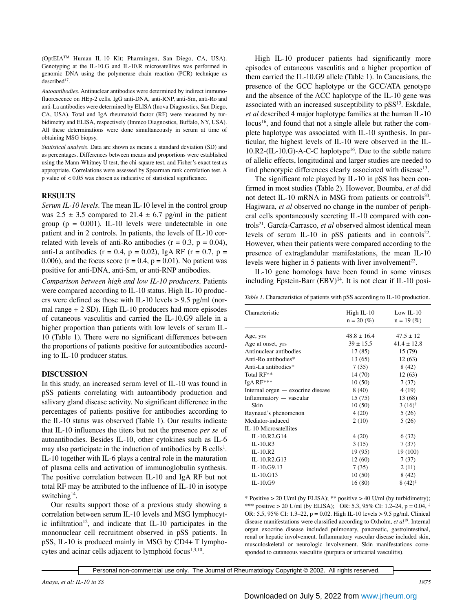(OptEIATM Human IL-10 Kit; Pharmingen, San Diego, CA, USA). Genotyping at the IL-10.G and IL-10.R microsatellites was performed in genomic DNA using the polymerase chain reaction (PCR) technique as  $described<sup>17</sup>$ .

*Autoantibodies.* Antinuclear antibodies were determined by indirect immunofluorescence on HEp-2 cells. IgG anti-DNA, anti-RNP, anti-Sm, anti-Ro and anti-La antibodies were determined by ELISA (Inova Diagnostics, San Diego, CA, USA). Total and IgA rheumatoid factor (RF) were measured by turbidimetry and ELISA, respectively (Immco Diagnostics, Buffalo, NY, USA). All these determinations were done simultaneously in serum at time of obtaining MSG biopsy.

*Statistical analysis.* Data are shown as means ± standard deviation (SD) and as percentages. Differences between means and proportions were established using the Mann-Whitney U test, the chi-square test, and Fisher's exact test as appropriate. Correlations were assessed by Spearman rank correlation test. A p value of < 0.05 was chosen as indicative of statistical significance.

## **RESULTS**

*Serum IL-10 levels.* The mean IL-10 level in the control group was  $2.5 \pm 3.5$  compared to  $21.4 \pm 6.7$  pg/ml in the patient group ( $p = 0.001$ ). IL-10 levels were undetectable in one patient and in 2 controls. In patients, the levels of IL-10 correlated with levels of anti-Ro antibodies ( $r = 0.3$ ,  $p = 0.04$ ), anti-La antibodies ( $r = 0.4$ ,  $p = 0.02$ ), IgA RF ( $r = 0.7$ ,  $p =$ 0.006), and the focus score  $(r = 0.4, p = 0.01)$ . No patient was positive for anti-DNA, anti-Sm, or anti-RNP antibodies.

*Comparison between high and low IL-10 producers.* Patients were compared according to IL-10 status. High IL-10 producers were defined as those with IL-10 levels  $> 9.5$  pg/ml (normal range + 2 SD). High IL-10 producers had more episodes of cutaneous vasculitis and carried the IL-10.G9 allele in a higher proportion than patients with low levels of serum IL-10 (Table 1). There were no significant differences between the proportions of patients positive for autoantibodies according to IL-10 producer status.

## **DISCUSSION**

In this study, an increased serum level of IL-10 was found in pSS patients correlating with autoantibody production and salivary gland disease activity. No significant difference in the percentages of patients positive for antibodies according to the IL-10 status was observed (Table 1). Our results indicate that IL-10 influences the titers but not the presence *per se* of autoantibodies. Besides IL-10, other cytokines such as IL-6 may also participate in the induction of antibodies by  $B$  cells<sup>1</sup>. IL-10 together with IL-6 plays a central role in the maturation of plasma cells and activation of immunoglobulin synthesis. The positive correlation between IL-10 and IgA RF but not total RF may be attributed to the influence of IL-10 in isotype switching<sup>14</sup>.

Our results support those of a previous study showing a correlation between serum IL-10 levels and MSG lymphocytic infiltration<sup>12</sup>, and indicate that IL-10 participates in the mononuclear cell recruitment observed in pSS patients. In pSS, IL-10 is produced mainly in MSG by CD4+ T lymphocytes and acinar cells adjacent to lymphoid focus<sup>1,3,10</sup>.

High IL-10 producer patients had significantly more episodes of cutaneous vasculitis and a higher proportion of them carried the IL-10.G9 allele (Table 1). In Caucasians, the presence of the GCC haplotype or the GCC/ATA genotype and the absence of the ACC haplotype of the IL-10 gene was associated with an increased susceptibility to  $pSS<sup>13</sup>$ . Eskdale, *et al* described 4 major haplotype families at the human IL-10 locus<sup>16</sup>, and found that not a single allele but rather the complete haplotype was associated with IL-10 synthesis. In particular, the highest levels of IL-10 were observed in the IL-10.R2-(IL-10.G)-A-C-C haplotype<sup>16</sup>. Due to the subtle nature of allelic effects, longitudinal and larger studies are needed to find phenotypic differences clearly associated with disease<sup>13</sup>.

The significant role played by IL-10 in pSS has been confirmed in most studies (Table 2). However, Boumba, *et al* did not detect IL-10 mRNA in MSG from patients or controls<sup>20</sup>. Hagiwara, *et al* observed no change in the number of peripheral cells spontaneously secreting IL-10 compared with controls<sup>21</sup>. García-Carrasco, et al observed almost identical mean levels of serum IL-10 in  $pSS$  patients and in controls<sup>22</sup>. However, when their patients were compared according to the presence of extraglandular manifestations, the mean IL-10 levels were higher in 5 patients with liver involvement<sup>22</sup>.

IL-10 gene homologs have been found in some viruses including Epstein-Barr  $(EBV)^{14}$ . It is not clear if IL-10 posi-

|  | Table 1. Characteristics of patients with pSS according to IL-10 production. |  |  |  |  |  |
|--|------------------------------------------------------------------------------|--|--|--|--|--|
|--|------------------------------------------------------------------------------|--|--|--|--|--|

| Characteristic                    | $High IL-10$<br>$n = 20$ (%) | Low IL- $10$<br>$n = 19$ (%) |
|-----------------------------------|------------------------------|------------------------------|
| Age, yrs                          | $48.8 + 16.4$                | $47.5 + 12$                  |
| Age at onset, yrs                 | $39 + 15.5$                  | $41.4 + 12.8$                |
| Antinuclear antibodies            | 17(85)                       | 15 (79)                      |
| Anti-Ro antibodies*               | 13 (65)                      | 12(63)                       |
| Anti-La antibodies*               | 7(35)                        | 8(42)                        |
| Total RF**                        | 14 (70)                      | 12(63)                       |
| IgA RF***                         | 10(50)                       | 7(37)                        |
| Internal organ — exocrine disease | 8(40)                        | 4(19)                        |
| Inflammatory — vascular           | 15(75)                       | 13 (68)                      |
| Skin                              | 10(50)                       | $3(16)^{\dagger}$            |
| Raynaud's phenomenon              | 4(20)                        | 5(26)                        |
| Mediator-induced                  | 2(10)                        | 5(26)                        |
| IL-10 Microsatellites             |                              |                              |
| IL-10.R2.G14                      | 4(20)                        | 6 (32)                       |
| $IL-10.R3$                        | 3(15)                        | 7(37)                        |
| $IL-10.R2$                        | 19 (95)                      | 19 (100)                     |
| IL-10.R2.G13                      | 12(60)                       | 7(37)                        |
| IL-10.G9.13                       | 7(35)                        | 2(11)                        |
| IL-10.G13                         | 10(50)                       | 8(42)                        |
| IL-10.G9                          | 16(80)                       | $8(42)^{\frac{1}{2}}$        |

\* Positive > 20 U/ml (by ELISA); \*\* positive > 40 U/ml (by turbidimetry); \*\*\* positive > 20 U/ml (by ELISA);  $\dagger$  OR: 5.3, 95% CI: 1.2–24, p = 0.04,  $\dagger$ OR: 5.5, 95% CI: 1.3–22, p = 0.02. High IL-10 levels > 9.5 pg/ml. Clinical disease manifestations were classified according to Oxholm, *et al*19. Internal organ exocrine disease included pulmonary, pancreatic, gastrointestinal, renal or hepatic involvement. Inflammatory vascular disease included skin, musculoskeletal or neurologic involvement. Skin manifestations corresponded to cutaneous vasculitis (purpura or urticarial vasculitis).

Personal non-commercial use only. The Journal of Rheumatology Copyright © 2002. All rights reserved.